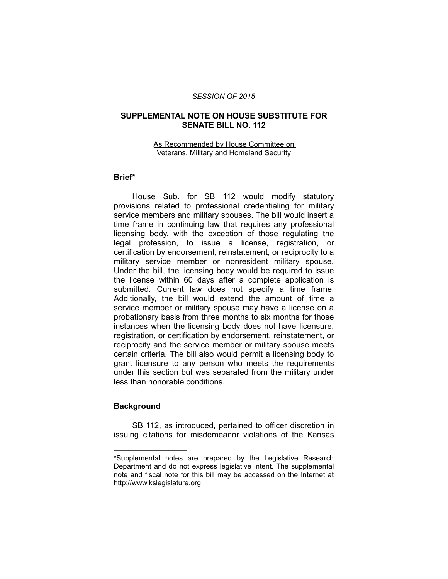#### *SESSION OF 2015*

## **SUPPLEMENTAL NOTE ON HOUSE SUBSTITUTE FOR SENATE BILL NO. 112**

### As Recommended by House Committee on Veterans, Military and Homeland Security

## **Brief\***

House Sub. for SB 112 would modify statutory provisions related to professional credentialing for military service members and military spouses. The bill would insert a time frame in continuing law that requires any professional licensing body, with the exception of those regulating the legal profession, to issue a license, registration, or certification by endorsement, reinstatement, or reciprocity to a military service member or nonresident military spouse. Under the bill, the licensing body would be required to issue the license within 60 days after a complete application is submitted. Current law does not specify a time frame. Additionally, the bill would extend the amount of time a service member or military spouse may have a license on a probationary basis from three months to six months for those instances when the licensing body does not have licensure, registration, or certification by endorsement, reinstatement, or reciprocity and the service member or military spouse meets certain criteria. The bill also would permit a licensing body to grant licensure to any person who meets the requirements under this section but was separated from the military under less than honorable conditions.

# **Background**

 $\overline{\phantom{a}}$  , where  $\overline{\phantom{a}}$ 

SB 112, as introduced, pertained to officer discretion in issuing citations for misdemeanor violations of the Kansas

<sup>\*</sup>Supplemental notes are prepared by the Legislative Research Department and do not express legislative intent. The supplemental note and fiscal note for this bill may be accessed on the Internet at http://www.kslegislature.org